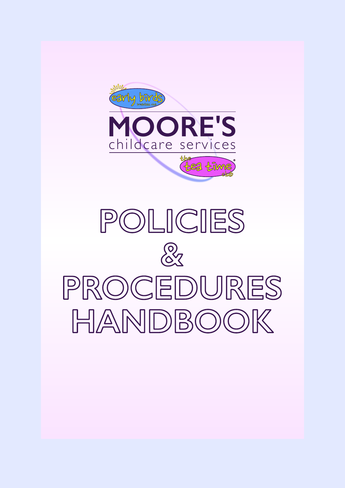

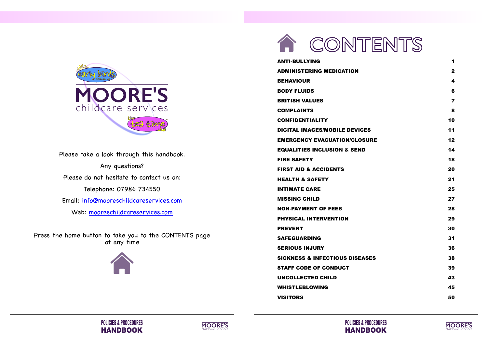









Please take a look through this handbook. Any questions? Please do not hesitate to contact us on: Telephone: 07986 734550 Email: [info@mooreschildcareservices.com](mailto:info@mooreschildcareservices.com) Web: [mooreschildcareservices.com](https://www.mooreschildcareservices.com)

Press the home button to take you to the CONTENTS page at any time



<span id="page-1-0"></span>

**[ANTI-BULLYING](#page-2-0) 1 [ADMINISTERING MEDICATION](#page-2-0) 2 [BEHAVIOUR](#page-3-0) 4 [BODY FLUIDS](#page-4-0) 6 [BRITISH VALUES](#page-5-0) 7 [COMPLAINTS](#page-5-0) 8 [CONFIDENTIALITY](#page-6-0) 10 [DIGITAL IMAGES/MOBILE DEVICES](#page-7-0) 11 [EMERGENCY EVACUATION/CLOSURE](#page-7-0) 12 [EQUALITIES INCLUSION & SEND](#page-8-0) 14 [FIRE SAFETY](#page-10-0) 18 [FIRST AID & ACCIDENTS](#page-11-0) 20 [HEALTH & SAFETY](#page-12-0) 21 [INTIMATE CARE](#page-14-0) 25 [MISSING CHILD](#page-15-0) 27 [NON-PAYMENT OF FEES](#page-15-0) 28 [PHYSICAL INTERVENTION](#page-16-0) 29 [PREVENT](#page-16-0) 30 [SAFEGUARDING](#page-17-0) 31 [SERIOUS INJURY](#page-19-0) 36 [SICKNESS & INFECTIOUS DISEASES](#page-20-0) 38 [STAFF CODE OF CONDUCT](#page-21-0) 39 [UNCOLLECTED CHILD](#page-23-0) 43 [WHISTLEBLOWING](#page-24-0) 45 [VISITORS](#page-26-0) 50**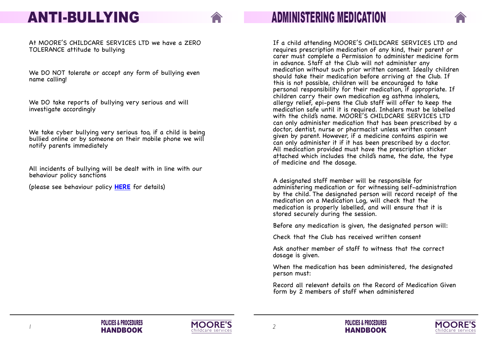





## **ADMINISTERING MEDICATION**

If a child attending MOORE'S CHILDCARE SERVICES LTD and requires prescription medication of any kind, their parent or carer must complete a Permission to administer medicine form in advance. Staff at the Club will not administer any medication without such prior written consent. Ideally children should take their medication before arriving at the Club. If this is not possible, children will be encouraged to take personal responsibility for their medication, if appropriate. If children carry their own medication eg asthma inhalers, allergy relief, epi-pens the Club staff will offer to keep the medication safe until it is required. Inhalers must be labelled with the child's name. MOORE'S CHILDCARE SERVICES LTD can only administer medication that has been prescribed by a doctor, dentist, nurse or pharmacist unless written consent given by parent. However, if a medicine contains aspirin we can only administer it if it has been prescribed by a doctor. All medication provided must have the prescription sticker attached which includes the child's name, the date, the type of medicine and the dosage.

A designated staff member will be responsible for administering medication or for witnessing self-administration by the child. The designated person will record receipt of the medication on a Medication Log, will check that the medication is properly labelled, and will ensure that it is stored securely during the session.

Before any medication is given, the designated person will:

Check that the Club has received written consent

Ask another member of staff to witness that the correct dosage is given.

When the medication has been administered, the designated person must:

Record all relevant details on the Record of Medication Given form by 2 members of staff when administered





## <span id="page-2-0"></span>**ANTI-BULLYING**

At MOORE'S CHILDCARE SERVICES LTD we have a ZERO TOLERANCE attitude to bullying

We DO NOT tolerate or accept any form of bullying even name calling!

We DO take reports of bullying very serious and will investigate accordingly

We take cyber bullying very serious too, if a child is being bullied online or by someone on their mobile phone we will notify parents immediately

All incidents of bullying will be dealt with in line with our behaviour policy sanctions

(please see behaviour policy **HERE** for details)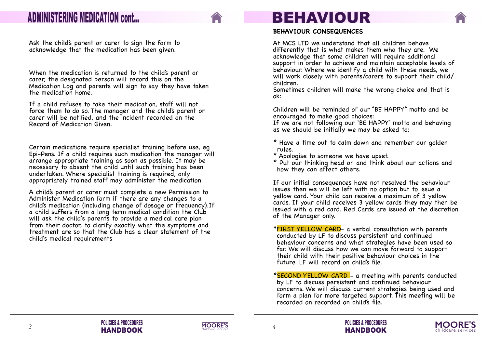







### <span id="page-3-0"></span>**ADMINISTERING MEDICATION cont...**

Ask the child's parent or carer to sign the form to acknowledge that the medication has been given.

When the medication is returned to the child's parent or carer, the designated person will record this on the Medication Log and parents will sign to say they have taken the medication home.

If a child refuses to take their medication, staff will not force them to do so. The manager and the child's parent or carer will be notified, and the incident recorded on the Record of Medication Given.

Certain medications require specialist training before use, eg Epi-Pens. If a child requires such medication the manager will arrange appropriate training as soon as possible. It may be necessary to absent the child until such training has been undertaken. Where specialist training is required, only appropriately trained staff may administer the medication.

A child's parent or carer must complete a new Permission to Administer Medication form if there are any changes to a child's medication (including change of dosage or frequency).If a child suffers from a long term medical condition the Club will ask the child's parents to provide a medical care plan from their doctor, to clarify exactly what the symptoms and treatment are so that the Club has a clear statement of the child's medical requirements

\*FIRST YELLOW CARD- a verbal consultation with parents conducted by LF to discuss persistent and continued behaviour concerns and what strategies have been used so far. We will discuss how we can move forward to support their child with their positive behaviour choices in the future. LF will record on child's file.





#### **BEHAVIOUR CONSEQUENCES**

At MCS LTD we understand that all children behave differently that is what makes them who they are. We acknowledge that some children will require additional support in order to achieve and maintain acceptable levels of behaviour. Where we identify a child with these needs, we will work closely with parents/carers to support their child/ children.

Sometimes children will make the wrong choice and that is ok:

Children will be reminded of our "BE HAPPY" motto and be encouraged to make good choices: If we are not following our 'BE HAPPY' motto and behaving as we should be initially we may be asked to:

- \* Have a time out to calm down and remember our golden rules.
- \* Apologise to someone we have upset.
- \* Put our thinking head on and think about our actions and how they can affect others.

If our initial consequences have not resolved the behaviour issues then we will be left with no option but to issue a yellow card. Your child can receive a maximum of 3 yellow cards. If your child receives 3 yellow cards they may then be issued with a red card. Red Cards are issued at the discretion of the Manager only.

\* \*SECOND YELLOW CARD - a meeting with parents conducted by LF to discuss persistent and continued behaviour concerns. We will discuss current strategies being used and form a plan for more targeted support. This meeting will be recorded on recorded on child's file.

### **BEHAVIOUR**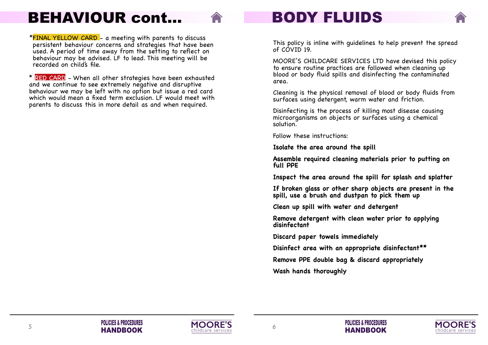

\* \*FINAL YELLOW CARD - a meeting with parents to discuss persistent behaviour concerns and strategies that have been used. A period of time away from the setting to reflect on behaviour may be advised. LF to lead. This meeting will be recorded on child's file.

\* \* RED CARD - When all other strategies have been exhausted and we continue to see extremely negative and disruptive behaviour we may be left with no option but issue a red card which would mean a fixed term exclusion. LF would meet with parents to discuss this in more detail as and when required.

# <span id="page-4-0"></span>**BEHAVIOUR cont…**









## **BODY FLUIDS**

This policy is inline with guidelines to help prevent the spread of COVID 19.

MOORE'S CHILDCARE SERVICES LTD have devised this policy to ensure routine practices are followed when cleaning up blood or body fluid spills and disinfecting the contaminated area.

Cleaning is the physical removal of blood or body fluids from surfaces using detergent, warm water and friction.

Disinfecting is the process of killing most disease causing microorganisms on objects or surfaces using a chemical solution.

Follow these instructions:

**Isolate the area around the spill**

**Assemble required cleaning materials prior to putting on full PPE**

**Inspect the area around the spill for splash and splatter**

**If broken glass or other sharp objects are present in the spill, use a brush and dustpan to pick them up**

**Clean up spill with water and detergent**

**Remove detergent with clean water prior to applying disinfectant**

**Discard paper towels immediately**

**Disinfect area with an appropriate disinfectant\*\***

**Remove PPE double bag & discard appropriately**

**Wash hands thoroughly**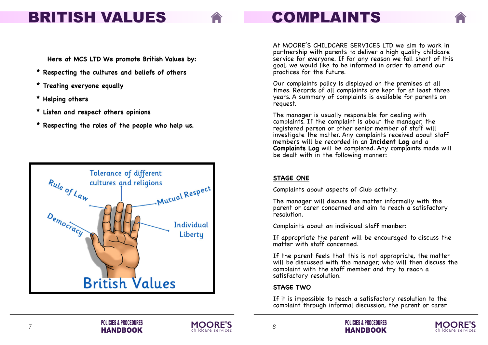



## <span id="page-5-0"></span>**BRITISH VALUES**

**Here at MCS LTD We promote British Values by:**

- **\* Respecting the cultures and beliefs of others**
- **\* Treating everyone equally**
- **\* Helping others**
- **\* Listen and respect others opinions**
- **\* Respecting the roles of the people who help us.**











# **COMPLAINTS**

At MOORE'S CHILDCARE SERVICES LTD we aim to work in partnership with parents to deliver a high quality childcare service for everyone. If for any reason we fall short of this goal, we would like to be informed in order to amend our practices for the future.

If appropriate the parent will be encouraged to discuss the matter with staff concerned.

Our complaints policy is displayed on the premises at all times. Records of all complaints are kept for at least three years. A summary of complaints is available for parents on request.

The manager is usually responsible for dealing with complaints. If the complaint is about the manager, the registered person or other senior member of staff will investigate the matter. Any complaints received about staff members will be recorded in an **Incident Log** and a **Complaints Log** will be completed. Any complaints made will be dealt with in the following manner:

### **STAGE ONE**

Complaints about aspects of Club activity:

The manager will discuss the matter informally with the parent or carer concerned and aim to reach a satisfactory resolution.

Complaints about an individual staff member:

If the parent feels that this is not appropriate, the matter will be discussed with the manager, who will then discuss the complaint with the staff member and try to reach a satisfactory resolution.

### **STAGE TWO**

If it is impossible to reach a satisfactory resolution to the complaint through informal discussion, the parent or carer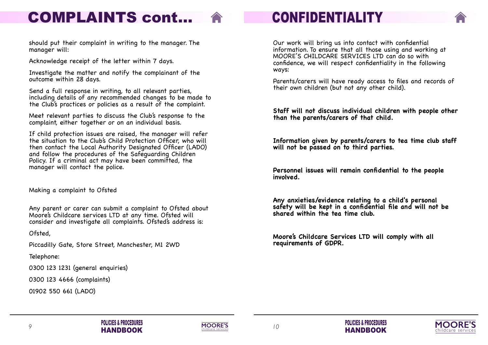









Our work will bring us into contact with confidential information. To ensure that all those using and working at MOORE'S CHILDCARE SERVICES LTD can do so with confidence, we will respect confidentiality in the following ways:

Parents/carers will have ready access to files and records of their own children (but not any other child).

**Staff will not discuss individual children with people other than the parents/carers of that child.**

**Information given by parents/carers to tea time club staff will not be passed on to third parties.**

**Personnel issues will remain confidential to the people involved.**

**Any anxieties/evidence relating to a child's personal safety will be kept in a confidential file and will not be shared within the tea time club.**

**Moore's Childcare Services LTD will comply with all requirements of GDPR.**

should put their complaint in writing to the manager. The manager will:

Acknowledge receipt of the letter within 7 days.

Investigate the matter and notify the complainant of the outcome within 28 days.



Send a full response in writing, to all relevant parties, including details of any recommended changes to be made to the Club's practices or policies as a result of the complaint.

Meet relevant parties to discuss the Club's response to the complaint, either together or on an individual basis.

If child protection issues are raised, the manager will refer the situation to the Club's Child Protection Officer, who will then contact the Local Authority Designated Officer (LADO) and follow the procedures of the Safeguarding Children Policy. If a criminal act may have been committed, the manager will contact the police.

Making a complaint to Ofsted

Any parent or carer can submit a complaint to Ofsted about Moore's Childcare services LTD at any time. Ofsted will consider and investigate all complaints. Ofsted's address is:

Ofsted,

Piccadilly Gate, Store Street, Manchester, M1 2WD

Telephone:

0300 123 1231 (general enquiries)

0300 123 4666 (complaints)

01902 550 661 (LADO)

# <span id="page-6-0"></span>**COMPLAINTS cont...**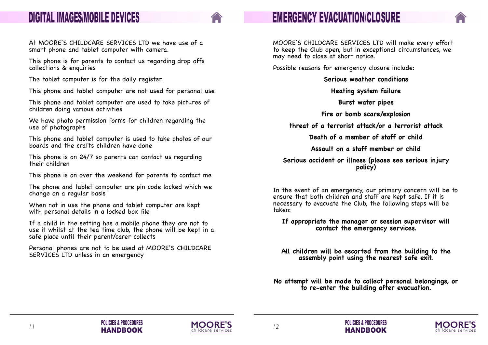



## **EMERGENCY EVACUATION/CLOSURE**

MOORE'S CHILDCARE SERVICES LTD will make every effort to keep the Club open, but in exceptional circumstances, we may need to close at short notice.

Possible reasons for emergency closure include:

**Serious weather conditions**

**Heating system failure**

**Burst water pipes**

**Fire or bomb scare/explosion**

**threat of a terrorist attack/or a terrorist attack**

**Death of a member of staff or child**

**Assault on a staff member or child**

**Serious accident or illness (please see serious injury policy)**

In the event of an emergency, our primary concern will be to ensure that both children and staff are kept safe. If it is necessary to evacuate the Club, the following steps will be taken:

**If appropriate the manager or session supervisor will contact the emergency services.**

**All children will be escorted from the building to the assembly point using the nearest safe exit.**

**No attempt will be made to collect personal belongings, or to re-enter the building after evacuation.**





### <span id="page-7-0"></span>**DIGITAL IMAGES/MOBILE DEVICES**

At MOORE'S CHILDCARE SERVICES LTD we have use of a smart phone and tablet computer with camera.

This phone is for parents to contact us regarding drop offs collections & enquiries

The tablet computer is for the daily register.

This phone and tablet computer are not used for personal use

This phone and tablet computer are used to take pictures of children doing various activities

We have photo permission forms for children regarding the use of photographs

This phone and tablet computer is used to take photos of our boards and the crafts children have done

This phone is on 24/7 so parents can contact us regarding their children

This phone is on over the weekend for parents to contact me

The phone and tablet computer are pin code locked which we change on a regular basis

When not in use the phone and tablet computer are kept with personal details in a locked box file

If a child in the setting has a mobile phone they are not to use it whilst at the tea time club, the phone will be kept in a safe place until their parent/carer collects

Personal phones are not to be used at MOORE'S CHILDCARE SERVICES LTD unless in an emergency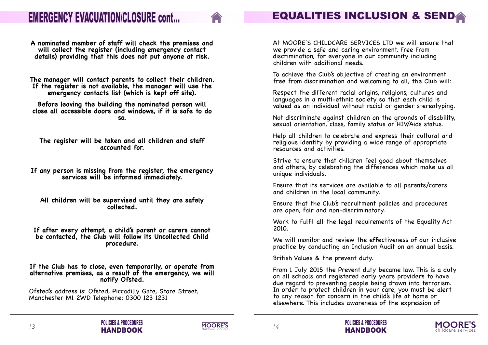





To achieve the Club's objective of creating an environment free from discrimination and welcoming to all, the Club will:

At MOORE'S CHILDCARE SERVICES LTD we will ensure that we provide a safe and caring environment, free from discrimination, for everyone in our community including children with additional needs.

Respect the different racial origins, religions, cultures and languages in a multi-ethnic society so that each child is valued as an individual without racial or gender stereotyping.

Not discriminate against children on the grounds of disability, sexual orientation, class, family status or HIV/Aids status.

Help all children to celebrate and express their cultural and religious identity by providing a wide range of appropriate resources and activities.

Strive to ensure that children feel good about themselves and others, by celebrating the differences which make us all unique individuals.

Ensure that its services are available to all parents/carers and children in the local community.

Ensure that the Club's recruitment policies and procedures are open, fair and non-discriminatory.

Work to fulfil all the legal requirements of the Equality Act 2010.

We will monitor and review the effectiveness of our inclusive practice by conducting an Inclusion Audit on an annual basis.

British Values & the prevent duty.



From 1 July 2015 the Prevent duty became law. This is a duty on all schools and registered early years providers to have due regard to preventing people being drawn into terrorism. In order to protect children in your care, you must be alert to any reason for concern in the child's life at home or elsewhere. This includes awareness of the expression of



**A nominated member of staff will check the premises and will collect the register (including emergency contact details) providing that this does not put anyone at risk.**

**The manager will contact parents to collect their children. If the register is not available, the manager will use the emergency contacts list (which is kept off site).**

**Before leaving the building the nominated person will close all accessible doors and windows, if it is safe to do so.**

**The register will be taken and all children and staff accounted for.**

**If any person is missing from the register, the emergency services will be informed immediately.**

**All children will be supervised until they are safely collected.**

**If after every attempt, a child's parent or carers cannot be contacted, the Club will follow its Uncollected Child procedure.**

**If the Club has to close, even temporarily, or operate from alternative premises, as a result of the emergency, we will notify Ofsted.**

Ofsted's address is: Ofsted, Piccadilly Gate, Store Street, Manchester M1 2WD Telephone: 0300 123 1231

### <span id="page-8-0"></span>**EMERGENCY EVACUATION/CLOSURE cont...**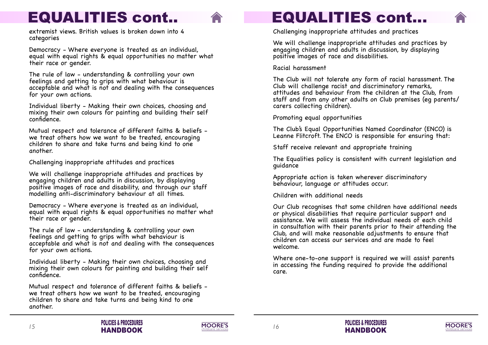





## **EQUALITIES cont...**

Challenging inappropriate attitudes and practices

We will challenge inappropriate attitudes and practices by engaging children and adults in discussion, by displaying positive images of race and disabilities.

Racial harassment

The Club will not tolerate any form of racial harassment. The Club will challenge racist and discriminatory remarks, attitudes and behaviour from the children at the Club, from staff and from any other adults on Club premises (eg parents/ carers collecting children).

Promoting equal opportunities

The Club's Equal Opportunities Named Coordinator (ENCO) is Leanne Flitcroft. The ENCO is responsible for ensuring that:

Staff receive relevant and appropriate training

The Equalities policy is consistent with current legislation and guidance

Appropriate action is taken wherever discriminatory behaviour, language or attitudes occur.

Children with additional needs

Our Club recognises that some children have additional needs or physical disabilities that require particular support and assistance. We will assess the individual needs of each child in consultation with their parents prior to their attending the Club, and will make reasonable adjustments to ensure that children can access our services and are made to feel welcome.

Where one-to-one support is required we will assist parents in accessing the funding required to provide the additional care.

extremist views. British values is broken down into 4 categories



Democracy - Where everyone is treated as an individual, equal with equal rights & equal opportunities no matter what their race or gender.

The rule of law - understanding & controlling your own feelings and getting to grips with what behaviour is acceptable and what is not and dealing with the consequences for your own actions.

Individual liberty - Making their own choices, choosing and mixing their own colours for painting and building their self confidence.

Mutual respect and tolerance of different faiths & beliefs we treat others how we want to be treated, encouraging children to share and take turns and being kind to one another.

Challenging inappropriate attitudes and practices

We will challenge inappropriate attitudes and practices by engaging children and adults in discussion, by displaying positive images of race and disability, and through our staff modelling anti-discriminatory behaviour at all times.

Democracy - Where everyone is treated as an individual, equal with equal rights & equal opportunities no matter what their race or gender.

The rule of law - understanding & controlling your own feelings and getting to grips with what behaviour is acceptable and what is not and dealing with the consequences for your own actions.

Individual liberty - Making their own choices, choosing and mixing their own colours for painting and building their self confidence.

Mutual respect and tolerance of different faiths & beliefs we treat others how we want to be treated, encouraging children to share and take turns and being kind to one another.

## **EQUALITIES cont..**

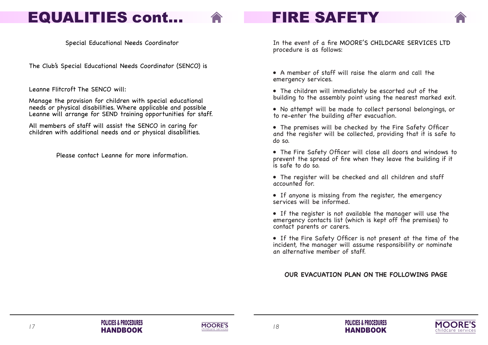







In the event of a fire MOORE'S CHILDCARE SERVICES LTD procedure is as follows:

• No attempt will be made to collect personal belongings, or to re-enter the building after evacuation.

• A member of staff will raise the alarm and call the emergency services.

• The children will immediately be escorted out of the building to the assembly point using the nearest marked exit.

• The premises will be checked by the Fire Safety Officer and the register will be collected, providing that it is safe to do so.

• The Fire Safety Officer will close all doors and windows to prevent the spread of fire when they leave the building if it is safe to do so.

• The register will be checked and all children and staff accounted for.

• If anyone is missing from the register, the emergency services will be informed.



• If the register is not available the manager will use the emergency contacts list (which is kept off the premises) to contact parents or carers.

• If the Fire Safety Officer is not present at the time of the incident, the manager will assume responsibility or nominate an alternative member of staff.

**OUR EVACUATION PLAN ON THE FOLLOWING PAGE**

Special Educational Needs Coordinator

The Club's Special Educational Needs Coordinator (SENCO) is

Leanne Flitcroft The SENCO will:

Manage the provision for children with special educational needs or physical disabilities. Where applicable and possible Leanne will arrange for SEND training opportunities for staff.

All members of staff will assist the SENCO in caring for children with additional needs and or physical disabilities.

Please contact Leanne for more information.

### <span id="page-10-0"></span>**EQUALITIES cont...**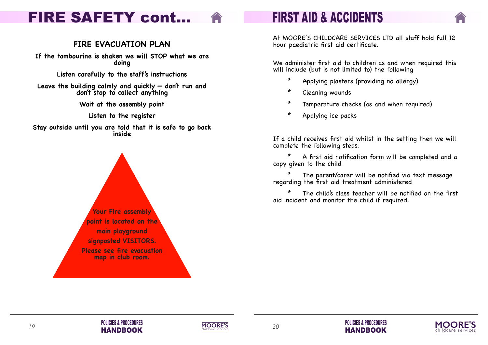





## **FIRST AID & ACCIDENTS**

At MOORE'S CHILDCARE SERVICES LTD all staff hold full 12 hour paediatric first aid certificate.

We administer first aid to children as and when required this will include (but is not limited to) the following

- \* Applying plasters (providing no allergy)
- \* Cleaning wounds
- \* Temperature checks (as and when required)
- \* Applying ice packs



If a child receives first aid whilst in the setting then we will complete the following steps:

\* A first aid notification form will be completed and a copy given to the child

\* The parent/carer will be notified via text message regarding the first aid treatment administered

\* The child's class teacher will be notified on the first aid incident and monitor the child if required.

### <span id="page-11-0"></span>**FIRE SAFETY cont...**

### **FIRE EVACUATION PLAN**

**If the tambourine is shaken we will STOP what we are doing**

**Listen carefully to the staff's instructions**

**Leave the building calmly and quickly — don't run and don't stop to collect anything**

**Wait at the assembly point**

**Listen to the register**

**Stay outside until you are told that it is safe to go back inside**

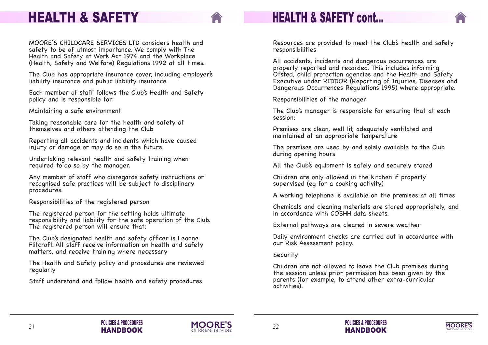Resources are provided to meet the Club's health and safety responsibilities

All accidents, incidents and dangerous occurrences are properly reported and recorded. This includes informing Ofsted, child protection agencies and the Health and Safety Executive under RIDDOR (Reporting of Injuries, Diseases and Dangerous Occurrences Regulations 1995) where appropriate.

Responsibilities of the manager

The Club's manager is responsible for ensuring that at each session:

Premises are clean, well lit, adequately ventilated and maintained at an appropriate temperature

The premises are used by and solely available to the Club during opening hours

All the Club's equipment is safely and securely stored

Children are only allowed in the kitchen if properly supervised (eg for a cooking activity)

A working telephone is available on the premises at all times

Chemicals and cleaning materials are stored appropriately, and in accordance with COSHH data sheets.

External pathways are cleared in severe weather

Daily environment checks are carried out in accordance with our Risk Assessment policy.

Security

Children are not allowed to leave the Club premises during the session unless prior permission has been given by the parents (for example, to attend other extra-curricular activities).



### **HEALTH & SAFETY cont...**









### <span id="page-12-0"></span>**HEALTH & SAFETY**

MOORE'S CHILDCARE SERVICES LTD considers health and safety to be of utmost importance. We comply with The Health and Safety at Work Act 1974 and the Workplace (Health, Safety and Welfare) Regulations 1992 at all times.

The Club has appropriate insurance cover, including employer's liability insurance and public liability insurance.

Each member of staff follows the Club's Health and Safety policy and is responsible for:

Maintaining a safe environment

Taking reasonable care for the health and safety of themselves and others attending the Club

Reporting all accidents and incidents which have caused injury or damage or may do so in the future

Undertaking relevant health and safety training when required to do so by the manager.

Any member of staff who disregards safety instructions or recognised safe practices will be subject to disciplinary procedures.

Responsibilities of the registered person

The registered person for the setting holds ultimate responsibility and liability for the safe operation of the Club. The registered person will ensure that:

The Club's designated health and safety officer is Leanne Flitcroft. All staff receive information on health and safety matters, and receive training where necessary

The Health and Safety policy and procedures are reviewed regularly

Staff understand and follow health and safety procedures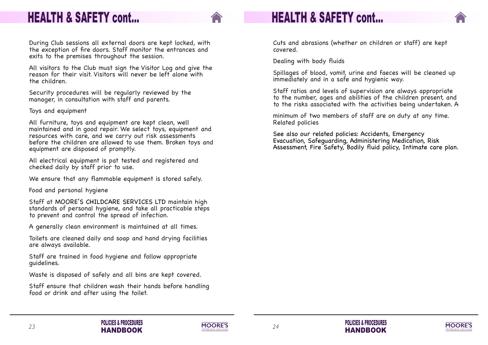Cuts and abrasions (whether on children or staff) are kept covered.

Dealing with body fluids

Spillages of blood, vomit, urine and faeces will be cleaned up immediately and in a safe and hygienic way.

Staff ratios and levels of supervision are always appropriate to the number, ages and abilities of the children present, and to the risks associated with the activities being undertaken. A



minimum of two members of staff are on duty at any time. Related policies

See also our related policies: Accidents, Emergency Evacuation, Safeguarding, Administering Medication, Risk Assessment, Fire Safety, Bodily fluid policy, Intimate care plan.











### **HEALTH & SAFETY cont...**

During Club sessions all external doors are kept locked, with the exception of fire doors. Staff monitor the entrances and exits to the premises throughout the session.

All visitors to the Club must sign the Visitor Log and give the reason for their visit. Visitors will never be left alone with the children.

Security procedures will be regularly reviewed by the manager, in consultation with staff and parents.

Toys and equipment

All furniture, toys and equipment are kept clean, well maintained and in good repair. We select toys, equipment and resources with care, and we carry out risk assessments before the children are allowed to use them. Broken toys and equipment are disposed of promptly.

All electrical equipment is pat tested and registered and checked daily by staff prior to use.

We ensure that any flammable equipment is stored safely.

Food and personal hygiene

Staff at MOORE'S CHILDCARE SERVICES LTD maintain high standards of personal hygiene, and take all practicable steps to prevent and control the spread of infection.

A generally clean environment is maintained at all times.

Toilets are cleaned daily and soap and hand drying facilities are always available.

Staff are trained in food hygiene and follow appropriate guidelines.

Waste is disposed of safely and all bins are kept covered.

Staff ensure that children wash their hands before handling food or drink and after using the toilet.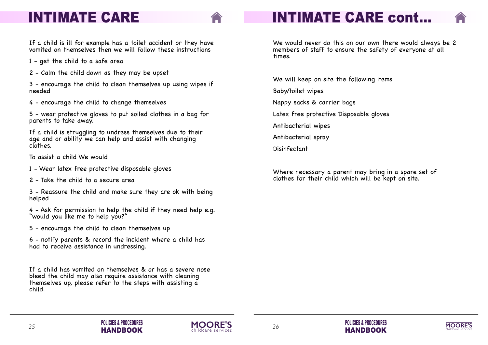





We would never do this on our own there would always be 2 members of staff to ensure the safety of everyone at all times.

We will keep on site the following items

Baby/toilet wipes

Nappy sacks & carrier bags

Latex free protective Disposable gloves

Antibacterial wipes

Antibacterial spray

Disinfectant

Where necessary a parent may bring in a spare set of clothes for their child which will be kept on site.



### <span id="page-14-0"></span>**INTIMATE CARE**

If a child is ill for example has a toilet accident or they have vomited on themselves then we will follow these instructions

- 1 get the child to a safe area
- 2 Calm the child down as they may be upset

3 - encourage the child to clean themselves up using wipes if needed

4 - encourage the child to change themselves

5 - wear protective gloves to put soiled clothes in a bag for parents to take away.

If a child is struggling to undress themselves due to their age and or ability we can help and assist with changing clothes.

To assist a child We would

1 - Wear latex free protective disposable gloves

2 - Take the child to a secure area

3 - Reassure the child and make sure they are ok with being helped

4 - Ask for permission to help the child if they need help e.g. "would you like me to help you?"

5 - encourage the child to clean themselves up

6 - notify parents & record the incident where a child has had to receive assistance in undressing.

If a child has vomited on themselves & or has a severe nose bleed the child may also require assistance with cleaning themselves up, please refer to the steps with assisting a child.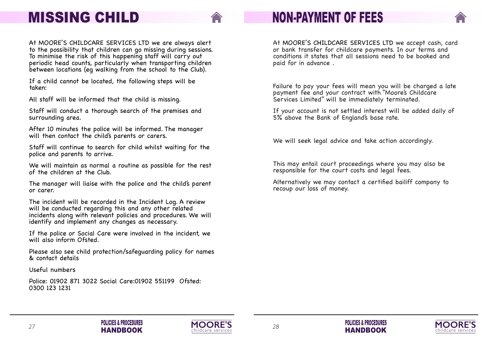







## **NON-PAYMENT OF FEES**

At MOORE'S CHILDCARE SERVICES LTD we accept cash, card or bank transfer for childcare payments. In our terms and conditions it states that all sessions need to be booked and paid for in advance .

Failure to pay your fees will mean you will be charged a late payment fee and your contract with "Moore's Childcare Services Limited" will be immediately terminated.

If your account is not settled interest will be added daily of 5% above the Bank of England's base rate.

We will seek legal advice and take action accordingly.

This may entail court proceedings where you may also be responsible for the court costs and legal fees.

Alternatively we may contact a certified bailiff company to recoup our loss of money.



**POLICIES & PROCEDURES HANDBOOK**

### <span id="page-15-0"></span>**MISSING CHILD**

If the police or Social Care were involved in the incident, we will also inform Ofsted.

At MOORE'S CHILDCARE SERVICES LTD we are always alert to the possibility that children can go missing during sessions. To minimise the risk of this happening staff will carry out periodic head counts, particularly when transporting children between locations (eg walking from the school to the Club).

If a child cannot be located, the following steps will be taken:

All staff will be informed that the child is missing.

Staff will conduct a thorough search of the premises and surrounding area.

After 10 minutes the police will be informed. The manager will then contact the child's parents or carers.

Staff will continue to search for child whilst waiting for the police and parents to arrive.

We will maintain as normal a routine as possible for the rest of the children at the Club.

The manager will liaise with the police and the child's parent or carer.

The incident will be recorded in the Incident Log. A review will be conducted regarding this and any other related incidents along with relevant policies and procedures. We will identify and implement any changes as necessary.

Please also see child protection/safeguarding policy for names & contact details

Useful numbers

Police: 01902 871 3022 Social Care:01902 551199 Ofsted: 0300 123 1231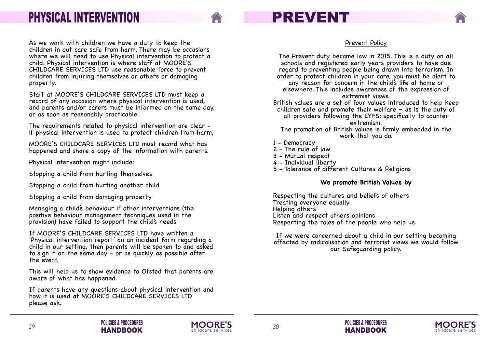





## **PREVENT**

Prevent Policy

The Prevent duty became law in 2015. This is a duty on all schools and registered early years providers to have due regard to preventing people being drawn into terrorism. In order to protect children in your care, you must be alert to any reason for concern in the child's life at home or elsewhere. This includes awareness of the expression of extremist views. children safe and promote their welfare  $-$  as is the duty of all providers following the EYFS; specifically to counter extremism.

British values are a set of four values introduced to help keep

The promotion of British values is firmly embedded in the work that you do.

- 1 Democracy
- 2 The rule of law
- 3 Mutual respect
- 4 Individual liberty
- 5 Tolerance of different Cultures & Religions

### **We promote British Values by**

Respecting the cultures and beliefs of others Treating everyone equally Helping others Listen and respect others opinions Respecting the roles of the people who help us.

If we were concerned about a child in our setting becoming affected by radicalisation and terrorist views we would follow our Safeguarding policy.



**POLICIES & PROCEDURES HANDBOOK**

### <span id="page-16-0"></span>**PHYSICAL INTERVENTION**

As we work with children we have a duty to keep the children in out care safe from harm. There may be occasions where we will need to use Physical intervention to protect a child. Physical intervention is where staff at MOORE'S CHILDCARE SERVICES LTD use reasonable force to prevent children from injuring themselves or others or damaging property.

Staff at MOORE'S CHILDCARE SERVICES LTD must keep a record of any occasion where physical intervention is used, and parents and/or carers must be informed on the same day, or as soon as reasonably practicable.

The requirements related to physical intervention are clear if physical intervention is used to protect children from harm,

MOORE'S CHILDCARE SERVICES LTD must record what has happened and share a copy of the information with parents.

Physical intervention might include:

Stopping a child from hurting themselves

Stopping a child from hurting another child

Stopping a child from damaging property

Managing a child's behaviour if other interventions (the positive behaviour management techniques used in the provision) have failed to support the child's needs

If MOORE'S CHILDCARE SERVICES LTD have written a 'Physical intervention report' on an incident form regarding a child in our setting, then parents will be spoken to and asked to sign it on the same day - or as quickly as possible after the event.

This will help us to show evidence to Ofsted that parents are aware of what has happened.

If parents have any questions about physical intervention and how it is used at MOORE'S CHILDCARE SERVICES LTD please ask.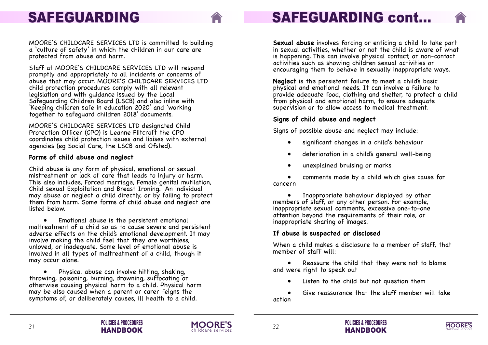

# **SAFEGUARDING cont...**

**Sexual abuse** involves forcing or enticing a child to take part in sexual activities, whether or not the child is aware of what is happening. This can involve physical contact, or non-contact activities such as showing children sexual activities or encouraging them to behave in sexually inappropriate ways.

**Neglect** is the persistent failure to meet a child's basic physical and emotional needs. It can involve a failure to provide adequate food, clothing and shelter, to protect a child from physical and emotional harm, to ensure adequate supervision or to allow access to medical treatment.

Inappropriate behaviour displayed by other members of staff, or any other person. For example, inappropriate sexual comments, excessive one-to-one attention beyond the requirements of their role, or inappropriate sharing of images.

### **Signs of child abuse and neglect**

Signs of possible abuse and neglect may include:

- significant changes in a child's behaviour
- deterioration in a child's general well-being
- unexplained bruising or marks

• comments made by a child which give cause for



concern

### **If abuse is suspected or disclosed**

When a child makes a disclosure to a member of staff, that member of staff will:

- Reassure the child that they were not to blame and were right to speak out
	- Listen to the child but not question them
- Give reassurance that the staff member will take action





## <span id="page-17-0"></span>**SAFEGUARDING**

• Physical abuse can involve hitting, shaking, throwing, poisoning, burning, drowning, suffocating or otherwise causing physical harm to a child. Physical harm may be also caused when a parent or carer feigns the symptoms of, or deliberately causes, ill health to a child.

MOORE'S CHILDCARE SERVICES LTD is committed to building a 'culture of safety' in which the children in our care are protected from abuse and harm.

Staff at MOORE'S CHILDCARE SERVICES LTD will respond promptly and appropriately to all incidents or concerns of abuse that may occur. MOORE'S CHILDCARE SERVICES LTD child protection procedures comply with all relevant legislation and with guidance issued by the Local Safeguarding Children Board (LSCB) and also inline with 'Keeping children safe in education 2020' and 'working together to safeguard children 2018' documents.

MOORE'S CHILDCARE SERVICES LTD designated Child Protection Officer (CPO) is Leanne Flitcroft the CPO coordinates child protection issues and liaises with external agencies (eg Social Care, the LSCB and Ofsted).

#### **Forms of child abuse and neglect**

Child abuse is any form of physical, emotional or sexual mistreatment or lack of care that leads to injury or harm. This also includes, Forced marriage, Female genital mutilation, Child sexual Exploitation and Breast Ironing. An individual may abuse or neglect a child directly, or by failing to protect them from harm. Some forms of child abuse and neglect are listed below.

• Emotional abuse is the persistent emotional maltreatment of a child so as to cause severe and persistent adverse effects on the child's emotional development. It may involve making the child feel that they are worthless, unloved, or inadequate. Some level of emotional abuse is involved in all types of maltreatment of a child, though it may occur alone.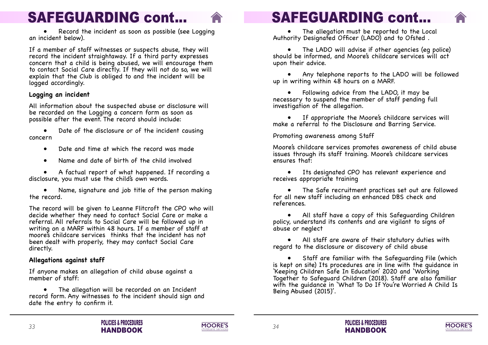



# **SAFEGUARDING cont...**

• The allegation must be reported to the Local Authority Designated Officer (LADO) and to Ofsted .

• The LADO will advise if other agencies (eg police) should be informed, and Moore's childcare services will act upon their advice.

• Following advice from the LADO, it may be necessary to suspend the member of staff pending full investigation of the allegation.

• Any telephone reports to the LADO will be followed

up in writing within 48 hours on a MARF.

• If appropriate the Moore's childcare services will make a referral to the Disclosure and Barring Service.

Promoting awareness among Staff

Moore's childcare services promotes awareness of child abuse issues through its staff training. Moore's childcare services ensures that:



• Its designated CPO has relevant experience and receives appropriate training

If a member of staff witnesses or suspects abuse, they will record the incident straightaway. If a third party expresses concern that a child is being abused, we will encourage them to contact Social Care directly. If they will not do so, we will explain that the Club is obliged to and the incident will be logged accordingly.

- 
- 
- The Safe recruitment practices set out are followed



for all new staff including an enhanced DBS check and references.

• All staff have a copy of this Safeguarding Children policy, understand its contents and are vigilant to signs of abuse or neglect

Date of the disclosure or of the incident causing concern

• A factual report of what happened. If recording a disclosure, you must use the child's own words.

> • All staff are aware of their statutory duties with regard to the disclosure or discovery of child abuse

• Staff are familiar with the Safeguarding File (which is kept on site) Its procedures are in line with the guidance in 'Keeping Children Safe In Education' 2020 and 'Working Together to Safeguard Children (2018). Staff are also familiar with the guidance in 'What To Do If You're Worried A Child Is Being Abused (2015)'.

The allegation will be recorded on an Incident record form. Any witnesses to the incident should sign and date the entry to confirm it.

# **SAFEGUARDING cont...**

• Record the incident as soon as possible (see Logging an incident below).

#### **Logging an incident**

All information about the suspected abuse or disclosure will be recorded on the Logging a concern form as soon as possible after the event. The record should include:

- Date and time at which the record was made
- Name and date of birth of the child involved

• Name, signature and job title of the person making the record.

The record will be given to Leanne Flitcroft the CPO who will decide whether they need to contact Social Care or make a referral. All referrals to Social Care will be followed up in writing on a MARF within 48 hours. If a member of staff at moore's childcare services thinks that the incident has not been dealt with properly, they may contact Social Care directly.

### **Allegations against staff**

If anyone makes an allegation of child abuse against a member of staff: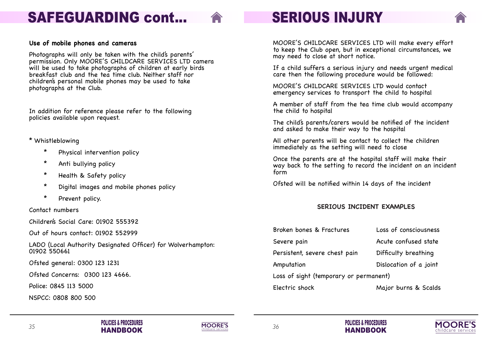







- 
- 
- 
- 
- 
- 

Loss of consciousness Acute confused state Difficulty breathing Dislocation of a joint ) anent

Major burns & Scalds

# **SERIOUS INJURY**

MOORE'S CHILDCARE SERVICES LTD will make every effort to keep the Club open, but in exceptional circumstances, we may need to close at short notice.

If a child suffers a serious injury and needs urgent medical care then the following procedure would be followed:

MOORE'S CHILDCARE SERVICES LTD would contact emergency services to transport the child to hospital

A member of staff from the tea time club would accompany the child to hospital

The child's parents/carers would be notified of the incident and asked to make their way to the hospital

All other parents will be contact to collect the children immediately as the setting will need to close

Once the parents are at the hospital staff will make their way back to the setting to record the incident on an incident form

Ofsted will be notified within 14 days of the incident

### **SERIOUS INCIDENT EXAMPLES**

| Broken bones & Fractures         |
|----------------------------------|
| Severe pain                      |
| Persistent, severe chest pain    |
| Amputation                       |
| Loss of sight (temporary or perm |
| Electric shock                   |
|                                  |





# <span id="page-19-0"></span>**SAFEGUARDING cont...**

#### **Use of mobile phones and cameras**

Photographs will only be taken with the child's parents' permission. Only MOORE'S CHILDCARE SERVICES LTD camera will be used to take photographs of children at early birds breakfast club and the tea time club. Neither staff nor children's personal mobile phones may be used to take photographs at the Club.

In addition for reference please refer to the following policies available upon request.

#### \* Whistleblowing

- \* Physical intervention policy
- \* Anti bullying policy
- \* Health & Safety policy
- \* Digital images and mobile phones policy
- \* Prevent policy.

Contact numbers

Children's Social Care: 01902 555392

Out of hours contact: 01902 552999

LADO (Local Authority Designated Officer) for Wolverhampton: 01902 550661

Ofsted general: 0300 123 1231

Ofsted Concerns: 0300 123 4666.

Police: 0845 113 5000

NSPCC: 0808 800 500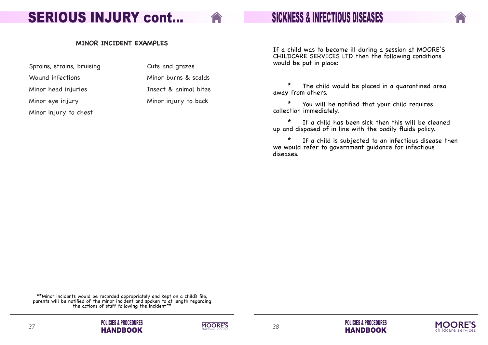







**SICKNESS & INFECTIOUS DISEASES**

If a child was to become ill during a session at MOORE'S CHILDCARE SERVICES LTD then the following conditions would be put in place:

\* The child would be placed in a quarantined area away from others.



\* You will be notified that your child requires collection immediately.

Wound infections Minor burns & scalds Minor head injuries Insect & animal bites

> \* If a child has been sick then this will be cleaned up and disposed of in line with the bodily fluids policy.

\* If a child is subjected to an infectious disease then we would refer to government guidance for infectious diseases.

<span id="page-20-0"></span>**SERIOUS INJURY cont...**

#### **MINOR INCIDENT EXAMPLES**

Sprains, strains, bruising The Cuts and grazes

Minor eye injury **Minor injury to back** 

Minor injury to chest

\*\*Minor incidents would be recorded appropriately and kept on a child's file, parents will be notified of the minor incident and spoken to at length regarding the actions of staff following the incident\*\*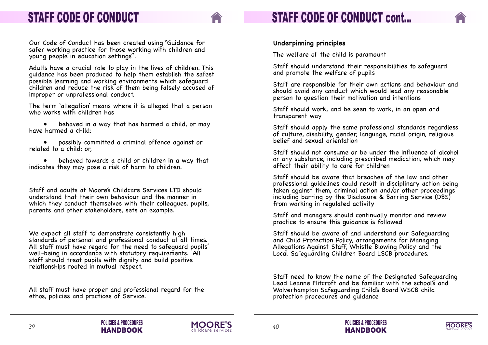

## **STAFF CODE OF CONDUCT cont...**

### **Underpinning principles**

The welfare of the child is paramount

Staff should understand their responsibilities to safeguard and promote the welfare of pupils

Staff are responsible for their own actions and behaviour and should avoid any conduct which would lead any reasonable person to question their motivation and intentions

Staff should work, and be seen to work, in an open and transparent way

Staff should apply the same professional standards regardless of culture, disability, gender, language, racial origin, religious belief and sexual orientation

Staff should not consume or be under the influence of alcohol or any substance, including prescribed medication, which may affect their ability to care for children

Staff should be aware that breaches of the law and other professional guidelines could result in disciplinary action being taken against them, criminal action and/or other proceedings including barring by the Disclosure & Barring Service (DBS) from working in regulated activity

- behaved in a way that has harmed a child, or may have harmed a child;
- possibly committed a criminal offence against or related to a child; or,

Staff and managers should continually monitor and review practice to ensure this guidance is followed

Staff should be aware of and understand our Safeguarding and Child Protection Policy, arrangements for Managing Allegations Against Staff, Whistle Blowing Policy and the Local Safeguarding Children Board LSCB procedures.

Staff need to know the name of the Designated Safeguarding Lead Leanne Flitcroft and be familiar with the school's and Wolverhampton Safeguarding Child's Board WSCB child protection procedures and guidance







### <span id="page-21-0"></span>**STAFF CODE OF CONDUCT**

Our Code of Conduct has been created using "Guidance for safer working practice for those working with children and young people in education settings".

Adults have a crucial role to play in the lives of children. This guidance has been produced to help them establish the safest possible learning and working environments which safeguard children and reduce the risk of them being falsely accused of improper or unprofessional conduct.

The term 'allegation' means where it is alleged that a person who works with children has

• behaved towards a child or children in a way that indicates they may pose a risk of harm to children.

Staff and adults at Moore's Childcare Services LTD should understand that their own behaviour and the manner in which they conduct themselves with their colleagues, pupils, parents and other stakeholders, sets an example.

We expect all staff to demonstrate consistently high standards of personal and professional conduct at all times. All staff must have regard for the need to safeguard pupils' well-being in accordance with statutory requirements. All staff should treat pupils with dignity and build positive relationships rooted in mutual respect.

All staff must have proper and professional regard for the ethos, policies and practices of Service.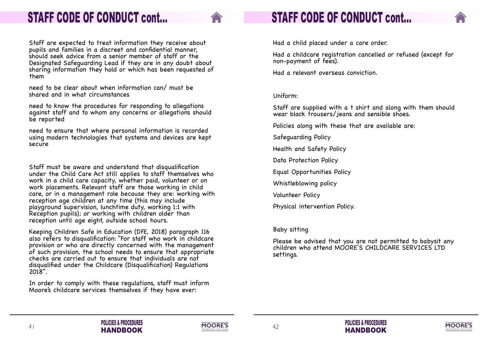







Had a child placed under a care order.

Had a childcare registration cancelled or refused (except for non-payment of fees).

Had a relevant overseas conviction.

Uniform:

Staff are supplied with a t shirt and along with them should wear black trousers/jeans and sensible shoes.



Policies along with these that are available are:

Safeguarding Policy

Health and Safety Policy

Data Protection Policy

Equal Opportunities Policy

Whistleblowing policy

Volunteer Policy

Physical intervention Policy.

Baby sitting

Please be advised that you are not permitted to babysit any children who attend MOORE'S CHILDCARE SERVICES LTD settings.

### **STAFF CODE OF CONDUCT cont...**

Staff are expected to treat information they receive about pupils and families in a discreet and confidential manner, should seek advice from a senior member of staff or the Designated Safeguarding Lead if they are in any doubt about sharing information they hold or which has been requested of them

need to be clear about when information can/ must be shared and in what circumstances

need to know the procedures for responding to allegations against staff and to whom any concerns or allegations should be reported

need to ensure that where personal information is recorded using modern technologies that systems and devices are kept secure

Staff must be aware and understand that disqualification under the Child Care Act still applies to staff themselves who work in a child care capacity, whether paid, volunteer or on work placements. Relevant staff are those working in child care, or in a management role because they are: working with reception age children at any time (this may include playground supervision, lunchtime duty, working 1:1 with Reception pupils); or working with children older than reception until age eight, outside school hours.

Keeping Children Safe in Education (DfE, 2018) paragraph 116 also refers to disqualification: "For staff who work in childcare provision or who are directly concerned with the management of such provision, the school needs to ensure that appropriate checks are carried out to ensure that individuals are not disqualified under the Childcare (Disqualification) Regulations 2018".

In order to comply with these regulations, staff must inform Moore's childcare services themselves if they have ever: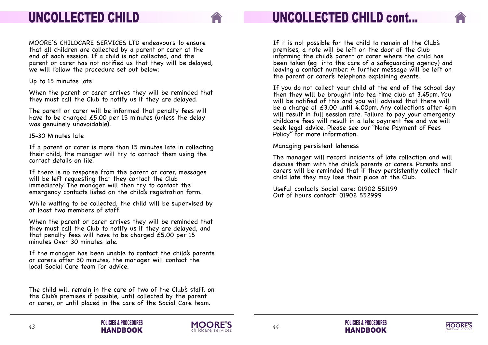







If it is not possible for the child to remain at the Club's premises, a note will be left on the door of the Club informing the child's parent or carer where the child has been taken (eg into the care of a safeguarding agency) and leaving a contact number. A further message will be left on the parent or carer's telephone explaining events.

If you do not collect your child at the end of the school day then they will be brought into tea time club at 3.45pm. You will be notified of this and you will advised that there will be a charge of £3.00 until 4.00pm. Any collections after 4pm will result in full session rate. Failure to pay your emergency childcare fees will result in a late payment fee and we will seek legal advice. Please see our "None Payment of Fees Policy" for more information.

Managing persistent lateness

The manager will record incidents of late collection and will discuss them with the child's parents or carers. Parents and carers will be reminded that if they persistently collect their child late they may lose their place at the Club.

Useful contacts Social care: 01902 551199 Out of hours contact: 01902 552999



**POLICIES & PROCEDURES HANDBOOK**

### <span id="page-23-0"></span>**UNCOLLECTED CHILD**

MOORE'S CHILDCARE SERVICES LTD endeavours to ensure that all children are collected by a parent or carer at the end of each session. If a child is not collected, and the parent or carer has not notified us that they will be delayed, we will follow the procedure set out below:

Up to 15 minutes late

When the parent or carer arrives they will be reminded that they must call the Club to notify us if they are delayed.

The parent or carer will be informed that penalty fees will have to be charged £5.00 per 15 minutes (unless the delay was genuinely unavoidable).

15-30 Minutes late

If a parent or carer is more than 15 minutes late in collecting their child, the manager will try to contact them using the contact details on file.

If there is no response from the parent or carer, messages will be left requesting that they contact the Club immediately. The manager will then try to contact the emergency contacts listed on the child's registration form.

While waiting to be collected, the child will be supervised by at least two members of staff.

When the parent or carer arrives they will be reminded that they must call the Club to notify us if they are delayed, and that penalty fees will have to be charged £5.00 per 15 minutes Over 30 minutes late.

If the manager has been unable to contact the child's parents or carers after 30 minutes, the manager will contact the local Social Care team for advice.

The child will remain in the care of two of the Club's staff, on the Club's premises if possible, until collected by the parent or carer, or until placed in the care of the Social Care team.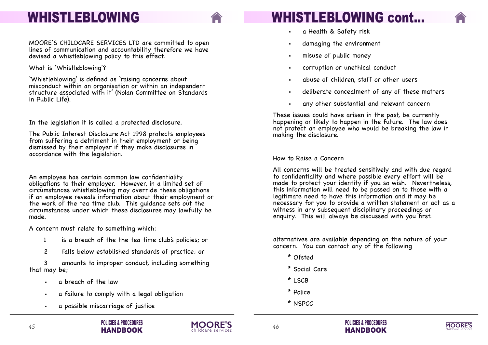



deliberate concealment of any of these matters



# **WHISTLEBLOWING cont...**

These issues could have arisen in the past, be currently happening or likely to happen in the future. The law does not protect an employee who would be breaking the law in making the disclosure.

- a Health & Safety risk
- damaging the environment
- misuse of public money
- corruption or unethical conduct
- abuse of children, staff or other users
- 
- any other substantial and relevant concern

How to Raise a Concern

All concerns will be treated sensitively and with due regard to confidentiality and where possible every effort will be made to protect your identity if you so wish. Nevertheless, this information will need to be passed on to those with a legitimate need to have this information and it may be necessary for you to provide a written statement or act as a witness in any subsequent disciplinary proceedings or enquiry. This will always be discussed with you first.

alternatives are available depending on the nature of your concern. You can contact any of the following

- \* Ofsted
- \* Social Care
- \* LSCB
- \* Police
- \* NSPCC



### <span id="page-24-0"></span>**WHISTLEBLOWING**

MOORE'S CHILDCARE SERVICES LTD are committed to open lines of communication and accountability therefore we have devised a whistleblowing policy to this effect.

What is 'Whistleblowing'?

'Whistleblowing' is defined as 'raising concerns about misconduct within an organisation or within an independent structure associated with it' (Nolan Committee on Standards in Public Life).

In the legislation it is called a protected disclosure.

The Public Interest Disclosure Act 1998 protects employees from suffering a detriment in their employment or being dismissed by their employer if they make disclosures in accordance with the legislation.

An employee has certain common law confidentiality obligations to their employer. However, in a limited set of circumstances whistleblowing may override these obligations if an employee reveals information about their employment or the work of the tea time club. This guidance sets out the circumstances under which these disclosures may lawfully be made.

A concern must relate to something which:

- 1 is a breach of the the tea time club's policies; or
- 2 falls below established standards of practice; or

3 amounts to improper conduct, including something that may be;

- a breach of the law
- a failure to comply with a legal obligation
- a possible miscarriage of justice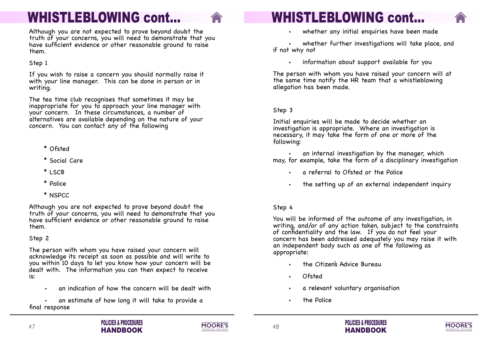

whether any initial enquiries have been made

the setting up of an external independent inquiry





whether further investigations will take place, and if not why not

▪ information about support available for you

The person with whom you have raised your concern will at the same time notify the HR team that a whistleblowing allegation has been made.

an internal investigation by the manager, which may, for example, take the form of a disciplinary investigation

- a referral to Ofsted or the Police
- 

### Step 3

Initial enquiries will be made to decide whether an investigation is appropriate. Where an investigation is necessary, it may take the form of one or more of the following:



### Step 4

You will be informed of the outcome of any investigation, in writing, and/or of any action taken, subject to the constraints of confidentiality and the law. If you do not feel your concern has been addressed adequately you may raise it with an independent body such as one of the following as appropriate:

- the Citizen's Advice Bureau
- **Ofsted**
- a relevant voluntary organisation
- the Police

an estimate of how long it will take to provide a final response

## **WHISTLEBLOWING cont...**

Although you are not expected to prove beyond doubt the truth of your concerns, you will need to demonstrate that you have sufficient evidence or other reasonable ground to raise them.

Step 1

If you wish to raise a concern you should normally raise it with your line manager. This can be done in person or in writing.

The tea time club recognises that sometimes it may be inappropriate for you to approach your line manager with your concern. In these circumstances, a number of alternatives are available depending on the nature of your concern. You can contact any of the following

- \* Ofsted
- \* Social Care
- \* LSCB
- \* Police
- \* NSPCC

Although you are not expected to prove beyond doubt the truth of your concerns, you will need to demonstrate that you have sufficient evidence or other reasonable ground to raise them.

### Step 2

The person with whom you have raised your concern will acknowledge its receipt as soon as possible and will write to you within 10 days to let you know how your concern will be dealt with. The information you can then expect to receive is:

an indication of how the concern will be dealt with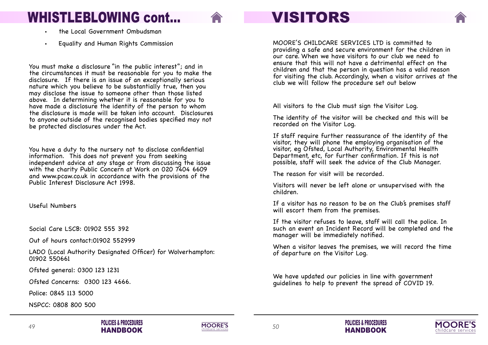





## **VISITORS**

- the Local Government Ombudsman
- Equality and Human Rights Commission

MOORE'S CHILDCARE SERVICES LTD is committed to providing a safe and secure environment for the children in our care. When we have visitors to our club we need to ensure that this will not have a detrimental effect on the children and that the person in question has a valid reason for visiting the club. Accordingly, when a visitor arrives at the club we will follow the procedure set out below

All visitors to the Club must sign the Visitor Log.

The identity of the visitor will be checked and this will be recorded on the Visitor Log.

If staff require further reassurance of the identity of the visitor, they will phone the employing organisation of the visitor, eg Ofsted, Local Authority, Environmental Health Department, etc, for further confirmation. If this is not possible, staff will seek the advice of the Club Manager.

The reason for visit will be recorded.

Visitors will never be left alone or unsupervised with the children.

If a visitor has no reason to be on the Club's premises staff will escort them from the premises.

If the visitor refuses to leave, staff will call the police. In such an event an Incident Record will be completed and the manager will be immediately notified.

When a visitor leaves the premises, we will record the time of departure on the Visitor Log.

We have updated our policies in line with government guidelines to help to prevent the spread of COVID 19.





## <span id="page-26-0"></span>**WHISTLEBLOWING cont...**

You must make a disclosure "in the public interest"; and in the circumstances it must be reasonable for you to make the disclosure. If there is an issue of an exceptionally serious nature which you believe to be substantially true, then you may disclose the issue to someone other than those listed above. In determining whether it is reasonable for you to have made a disclosure the identity of the person to whom the disclosure is made will be taken into account. Disclosures to anyone outside of the recognised bodies specified may not be protected disclosures under the Act.

You have a duty to the nursery not to disclose confidential information. This does not prevent you from seeking independent advice at any stage or from discussing the issue with the charity Public Concern at Work on 020 7404 6609 and www.pcaw.co.uk in accordance with the provisions of the Public Interest Disclosure Act 1998.

Useful Numbers

Social Care LSCB: 01902 555 392

Out of hours contact:01902 552999

LADO (Local Authority Designated Officer) for Wolverhampton: 01902 550661

Ofsted general: 0300 123 1231

Ofsted Concerns: 0300 123 4666.

Police: 0845 113 5000

NSPCC: 0808 800 500